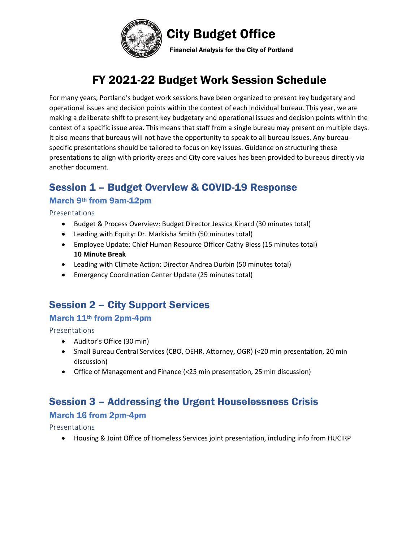

# FY 2021-22 Budget Work Session Schedule

For many years, Portland's budget work sessions have been organized to present key budgetary and operational issues and decision points within the context of each individual bureau. This year, we are making a deliberate shift to present key budgetary and operational issues and decision points within the context of a specific issue area. This means that staff from a single bureau may present on multiple days. It also means that bureaus will not have the opportunity to speak to all bureau issues. Any bureauspecific presentations should be tailored to focus on key issues. Guidance on structuring these presentations to align with priority areas and City core values has been provided to bureaus directly via another document.

## Session 1 – Budget Overview & COVID-19 Response

### March 9th from 9am-12pm

Presentations

- Budget & Process Overview: Budget Director Jessica Kinard (30 minutes total)
- Leading with Equity: Dr. Markisha Smith (50 minutes total)
- Employee Update: Chief Human Resource Officer Cathy Bless (15 minutes total) **10 Minute Break**
- Leading with Climate Action: Director Andrea Durbin (50 minutes total)
- Emergency Coordination Center Update (25 minutes total)

## Session 2 – City Support Services

### March 11th from 2pm-4pm

Presentations

- Auditor's Office (30 min)
- Small Bureau Central Services (CBO, OEHR, Attorney, OGR) (<20 min presentation, 20 min discussion)
- Office of Management and Finance (<25 min presentation, 25 min discussion)

## Session 3 – Addressing the Urgent Houselessness Crisis

### March 16 from 2pm-4pm

Presentations

• Housing & Joint Office of Homeless Services joint presentation, including info from HUCIRP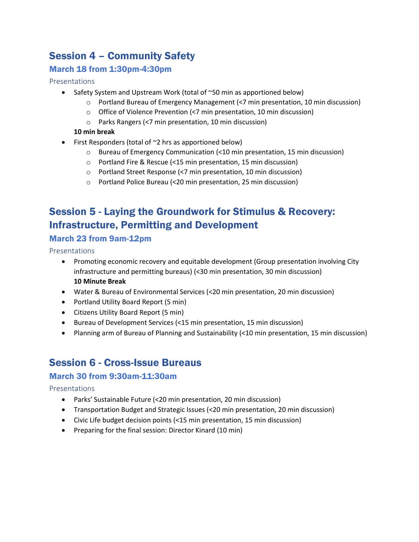## Session 4 – Community Safety

### March 18 from 1:30pm-4:30pm

#### Presentations

- Safety System and Upstream Work (total of ~50 min as apportioned below)
	- o Portland Bureau of Emergency Management (<7 min presentation, 10 min discussion)
	- o Office of Violence Prevention (<7 min presentation, 10 min discussion)
	- o Parks Rangers (<7 min presentation, 10 min discussion)

#### **10 min break**

- First Responders (total of  $\sim$ 2 hrs as apportioned below)
	- o Bureau of Emergency Communication (<10 min presentation, 15 min discussion)
	- o Portland Fire & Rescue (<15 min presentation, 15 min discussion)
	- o Portland Street Response (<7 min presentation, 10 min discussion)
	- o Portland Police Bureau (<20 min presentation, 25 min discussion)

## Session 5 - Laying the Groundwork for Stimulus & Recovery: Infrastructure, Permitting and Development

### March 23 from 9am-12pm

Presentations

- Promoting economic recovery and equitable development (Group presentation involving City infrastructure and permitting bureaus) (<30 min presentation, 30 min discussion) **10 Minute Break**
- Water & Bureau of Environmental Services (<20 min presentation, 20 min discussion)
- Portland Utility Board Report (5 min)
- Citizens Utility Board Report (5 min)
- Bureau of Development Services (<15 min presentation, 15 min discussion)
- Planning arm of Bureau of Planning and Sustainability (<10 min presentation, 15 min discussion)

## Session 6 - Cross-Issue Bureaus

### March 30 from 9:30am-11:30am

Presentations

- Parks' Sustainable Future (<20 min presentation, 20 min discussion)
- Transportation Budget and Strategic Issues (<20 min presentation, 20 min discussion)
- Civic Life budget decision points (<15 min presentation, 15 min discussion)
- Preparing for the final session: Director Kinard (10 min)